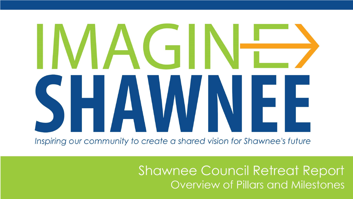# IACTII HAWNE

Inspiring our community to create a shared vision for Shawnee's future

**Shawnee Council Retreat Report Overview of Pillars and Milestones**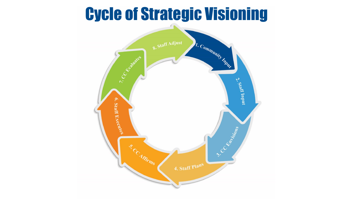## Cycle of Strategic Visioning

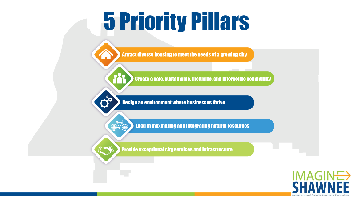# **5 Priority Pillars**

Attract diverse housing to meet the needs of a growing city

**Create a safe, sustainable, inclusive, and interactive community** 

**Design an environment where businesses thrive** 

Cic

 $\sqrt{2}$ 

**Lead in maximizing and integrating natural resources** 

**Provide exceptional city services and infrastructure** 

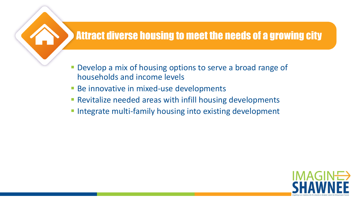#### Attract diverse housing to meet the needs of a growing city

- Develop a mix of housing options to serve a broad range of households and income levels
- **Be innovative in mixed-use developments**
- Revitalize needed areas with infill housing developments
- **Integrate multi-family housing into existing development**

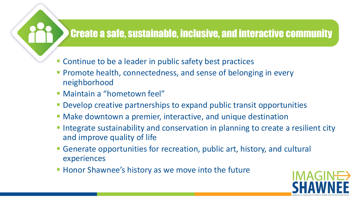#### **Create a safe, sustainable, inclusive, and interactive community**

- **Continue to be a leader in public safety best practices**
- **Promote health, connectedness, and sense of belonging in every** neighborhood
- **Maintain a "hometown feel"**
- Develop creative partnerships to expand public transit opportunities
- Make downtown a premier, interactive, and unique destination
- **Integrate sustainability and conservation in planning to create a resilient city** and improve quality of life
- Generate opportunities for recreation, public art, history, and cultural experiences
- **Honor Shawnee's history as we move into the future**

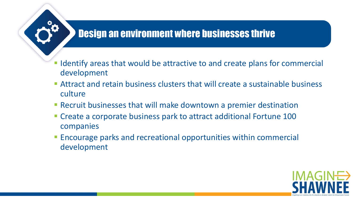#### **Design an environment where businesses thrive**

- Identify areas that would be attractive to and create plans for commercial development
- Attract and retain business clusters that will create a sustainable business culture
- Recruit businesses that will make downtown a premier destination
- Create a corporate business park to attract additional Fortune 100 companies
- **Encourage parks and recreational opportunities within commercial** development

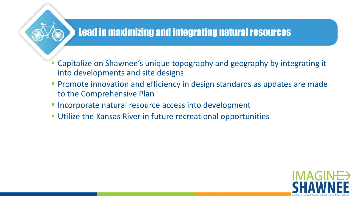#### **Lead in maximizing and integrating natural resources**

- Capitalize on Shawnee's unique topography and geography by integrating it into developments and site designs
- **Promote innovation and efficiency in design standards as updates are made** to the Comprehensive Plan
- **Incorporate natural resource access into development**
- Utilize the Kansas River in future recreational opportunities

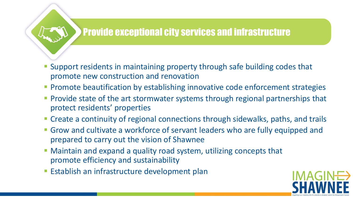#### **Provide exceptional city services and infrastructure**

- Support residents in maintaining property through safe building codes that promote new construction and renovation
- **Promote beautification by establishing innovative code enforcement strategies**
- **Provide state of the art stormwater systems through regional partnerships that** protect residents' properties
- Create a continuity of regional connections through sidewalks, paths, and trails
- Grow and cultivate a workforce of servant leaders who are fully equipped and prepared to carry out the vision of Shawnee
- Maintain and expand a quality road system, utilizing concepts that promote efficiency and sustainability
- **Establish an infrastructure development plan**